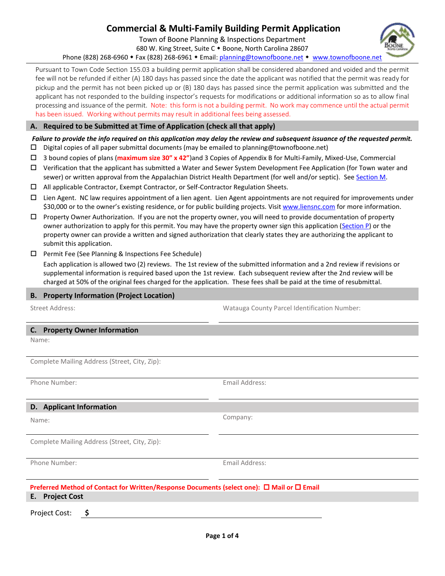# **Commercial & Multi-Family Building Permit Application**

Town of Boone Planning & Inspections Department

680 W. King Street, Suite C + Boone, North Carolina 28607

Phone (828) 268-6960 • Fax (828) 268-6961 • Email: [planning@townofboone.net](mailto:planning@townofboone.net) • [www.townofboone.net](http://www.townofboone.net/)

Pursuant to Town Code Section 155.03 a building permit application shall be considered abandoned and voided and the permit fee will not be refunded if either (A) 180 days has passed since the date the applicant was notified that the permit was ready for pickup and the permit has not been picked up or (B) 180 days has passed since the permit application was submitted and the applicant has not responded to the building inspector's requests for modifications or additional information so as to allow final processing and issuance of the permit. Note: this form is not a building permit. No work may commence until the actual permit has been issued. Working without permits may result in additional fees being assessed.

#### **A. Required to be Submitted at Time of Application (check all that apply)**

# *Failure to provide the info required on this application may delay the review and subsequent issuance of the requested permit.*

- $\square$  Digital copies of all paper submittal documents (may be emailed to planning@townofboone.net)
- 3 bound copies of plans (**maximum size 30" x 42"**)and 3 Copies of Appendix B for Multi-Family, Mixed-Use, Commercial
- Verification that the applicant has submitted a Water and Sewer System Development Fee Application (for Town water and sewer) or written approval from the Appalachian District Health Department (for well and/or septic). See [Section M.](#page-2-0)
- All applicable Contractor, Exempt Contractor, or Self-Contractor Regulation Sheets.
- $\Box$  Lien Agent. NC law requires appointment of a lien agent. Lien Agent appointments are not required for improvements under \$30,000 or to the owner's existing residence, or for public building projects. Visit [www.liensnc.com](http://www.liensnc.com/) for more information.
- $\Box$  Property Owner Authorization. If you are not the property owner, you will need to provide documentation of property owner authorization to apply for this permit. You may have the property owner sign this application [\(Section P\)](#page-3-0) or the property owner can provide a written and signed authorization that clearly states they are authorizing the applicant to submit this application.
- $\square$  Permit Fee (See Planning & Inspections Fee Schedule)

Each application is allowed two (2) reviews. The 1st review of the submitted information and a 2nd review if revisions or supplemental information is required based upon the 1st review. Each subsequent review after the 2nd review will be charged at 50% of the original fees charged for the application. These fees shall be paid at the time of resubmittal.

## **B. Property Information (Project Location)**

Street Address: Watauga County Parcel Identification Number:

#### **C. Property Owner Information**

Name:

Complete Mailing Address (Street, City, Zip):

Phone Number: Email Address:

### **D. Applicant Information**

Name:

Complete Mailing Address (Street, City, Zip):

Phone Number: Email Address:

Company:

#### **Preferred Method of Contact for Written/Response Documents (select one): □ Mail or □ Email E. Project Cost**

Project Cost: **\$**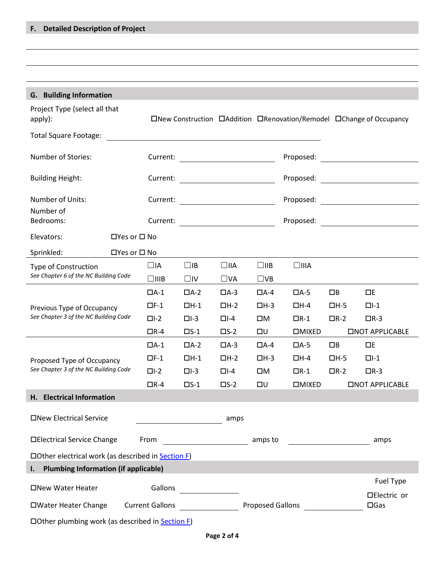<span id="page-1-0"></span>

| <b>G.</b> Building Information                                                                                                                       |                         |                                         |               |               |                                                                         |                                                   |                               |                         |
|------------------------------------------------------------------------------------------------------------------------------------------------------|-------------------------|-----------------------------------------|---------------|---------------|-------------------------------------------------------------------------|---------------------------------------------------|-------------------------------|-------------------------|
| Project Type (select all that<br>apply):                                                                                                             |                         |                                         |               |               | □New Construction □ Addition □ Renovation/Remodel □ Change of Occupancy |                                                   |                               |                         |
| <b>Total Square Footage:</b><br><u> 1980 - Andrea State Barbara, amerikan personal di sebagai personal di sebagai personal di sebagai personal d</u> |                         |                                         |               |               |                                                                         |                                                   |                               |                         |
| Number of Stories:                                                                                                                                   |                         |                                         |               |               |                                                                         |                                                   |                               |                         |
| <b>Building Height:</b>                                                                                                                              |                         |                                         |               |               |                                                                         |                                                   |                               |                         |
| Number of Units:                                                                                                                                     |                         |                                         |               |               |                                                                         |                                                   |                               |                         |
| Number of<br>Bedrooms:                                                                                                                               |                         |                                         |               |               |                                                                         |                                                   |                               |                         |
| Elevators:                                                                                                                                           | $\Box$ Yes or $\Box$ No |                                         |               |               |                                                                         |                                                   |                               |                         |
| Sprinkled:                                                                                                                                           | $\Box$ Yes or $\Box$ No |                                         |               |               |                                                                         |                                                   |                               |                         |
| Type of Construction                                                                                                                                 |                         | $\Box$ IA                               | $\Box$ IB     | $\Box$ IIA    | $\square$ IIB                                                           | $\square$ IIIA                                    |                               |                         |
| See Chapter 6 of the NC Building Code                                                                                                                |                         | $\square$ IIIB                          | $\square$     | $\square$ VA  | $\square$ VB                                                            |                                                   |                               |                         |
|                                                                                                                                                      |                         | $\Box A-1$                              | $\Box A-2$    | $\Box A-3$    | $\Box A - 4$                                                            | $\Box$ A-5                                        | $\Box$ B                      | $\Box E$                |
| Previous Type of Occupancy                                                                                                                           |                         | $\Box F-1$                              | $\Box H-1$    | $\Box H - 2$  | $\Box H-3$                                                              | $\Box H - 4$                                      | $\Box H - 5$                  | $\Box$ -1               |
| See Chapter 3 of the NC Building Code                                                                                                                |                         | $\Box$ -2                               | $\Box$ -3     | $\Box$ -4     | ПM                                                                      | $\Box R-1$                                        | $\Box R-2$                    | $\Box R-3$              |
|                                                                                                                                                      |                         | $\Box R - 4$                            | $\square$ S-1 | $\square$ S-2 | שם                                                                      | <b>DMIXED</b>                                     |                               | <b>CINOT APPLICABLE</b> |
|                                                                                                                                                      |                         | $\Box A-1$                              | $\Box A-2$    | $\Box A-3$    | $\Box A - 4$                                                            | $\Box$ A-5                                        | $\Box$ B                      | $\Box E$                |
| Proposed Type of Occupancy                                                                                                                           |                         | $\Box F-1$                              | $\Box H-1$    | $\Box H - 2$  | $\Box H - 3$                                                            | □Н-4                                              | $\Box H - 5$                  | $\Box$ -1               |
| See Chapter 3 of the NC Building Code                                                                                                                |                         | $\Box$ -2                               | $\Box$ -3     | $\Box$ -4     | ПM                                                                      | $\Box R-1$                                        | $\Box R-2$                    | $\Box R-3$              |
|                                                                                                                                                      |                         | $\Box R - 4$                            | $\square$ S-1 | $\square$ S-2 | שם                                                                      | $\square$ MIXED                                   |                               | <b>CINOT APPLICABLE</b> |
| H. Electrical Information                                                                                                                            |                         |                                         |               |               |                                                                         |                                                   |                               |                         |
| □New Electrical Service<br>amps                                                                                                                      |                         |                                         |               |               |                                                                         |                                                   |                               |                         |
| □Electrical Service Change<br>From                                                                                                                   |                         | <u> 1990 - Johann Barbara, martxa a</u> |               | amps to       |                                                                         | <u> 1989 - Johann Barnett, fransk politiker (</u> | amps                          |                         |
| $\Box$ Other electrical work (as described in Section F)                                                                                             |                         |                                         |               |               |                                                                         |                                                   |                               |                         |
| I. Plumbing Information (if applicable)                                                                                                              |                         |                                         |               |               |                                                                         |                                                   |                               |                         |
| Fuel Type<br>Gallons<br>□New Water Heater                                                                                                            |                         |                                         |               |               |                                                                         |                                                   |                               |                         |
| □Water Heater Change Current Gallons                                                                                                                 |                         |                                         |               |               | <b>Proposed Gallons</b>                                                 |                                                   | □Electric or<br>$\square$ Gas |                         |
| $\Box$ Other plumbing work (as described in Section F)                                                                                               |                         |                                         |               |               |                                                                         |                                                   |                               |                         |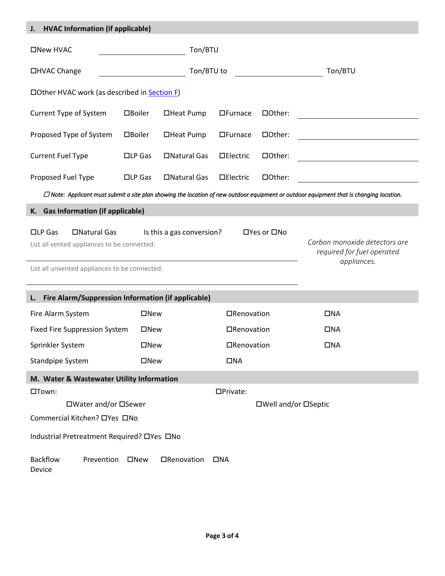<span id="page-2-0"></span>

| <b>HVAC Information (if applicable)</b><br>J.                                                                                                                                                                                                              |                                                       |              |                      |              |                                               |  |  |
|------------------------------------------------------------------------------------------------------------------------------------------------------------------------------------------------------------------------------------------------------------|-------------------------------------------------------|--------------|----------------------|--------------|-----------------------------------------------|--|--|
| Ton/BTU<br>□New HVAC                                                                                                                                                                                                                                       |                                                       |              |                      |              |                                               |  |  |
| □HVAC Change                                                                                                                                                                                                                                               | Ton/BTU                                               |              |                      |              |                                               |  |  |
| □ Other HVAC work (as described in <b>Section F)</b>                                                                                                                                                                                                       |                                                       |              |                      |              |                                               |  |  |
| Current Type of System                                                                                                                                                                                                                                     | $\Box$ Boiler                                         | □Heat Pump   | $\Box$ Furnace       | □Other:      |                                               |  |  |
| Proposed Type of System                                                                                                                                                                                                                                    | □Boiler                                               | □Heat Pump   | $\Box$ Furnace       | □Other:      |                                               |  |  |
| <b>Current Fuel Type</b>                                                                                                                                                                                                                                   | $\square$ LP Gas                                      | □Natural Gas | $\Box$ Electric      | □Other:      | <u> 1989 - Johann John Stone, mars et al.</u> |  |  |
| Proposed Fuel Type                                                                                                                                                                                                                                         | $\square$ LP Gas                                      | □Natural Gas | $\Box$ Electric      | □Other:      |                                               |  |  |
| $\Box$ Note: Applicant must submit a site plan showing the location of new outdoor equipment or outdoor equipment that is changing location.                                                                                                               |                                                       |              |                      |              |                                               |  |  |
| K. Gas Information (if applicable)                                                                                                                                                                                                                         |                                                       |              |                      |              |                                               |  |  |
| □Natural Gas<br>$\square$ LP Gas<br>Is this a gas conversion?<br>□Yes or □No<br>Carbon monoxide detectors are<br>List all vented appliances to be connected:<br>required for fuel operated<br>appliances.<br>List all unvented appliances to be connected: |                                                       |              |                      |              |                                               |  |  |
| Fire Alarm/Suppression Information (if applicable)<br>L.                                                                                                                                                                                                   |                                                       |              |                      |              |                                               |  |  |
| Fire Alarm System<br>□New                                                                                                                                                                                                                                  |                                                       |              | □Renovation          |              | $\square$ NA                                  |  |  |
|                                                                                                                                                                                                                                                            | <b>Fixed Fire Suppression System</b><br>$\square$ New |              | □Renovation          |              | <b>ONA</b>                                    |  |  |
| Sprinkler System<br>□New                                                                                                                                                                                                                                   |                                                       | □Renovation  |                      | $\square$ NA |                                               |  |  |
| <b>Standpipe System</b>                                                                                                                                                                                                                                    | $\square$ New                                         |              | $\Box NA$            |              |                                               |  |  |
| M. Water & Wastewater Utility Information                                                                                                                                                                                                                  |                                                       |              |                      |              |                                               |  |  |
| □Town:                                                                                                                                                                                                                                                     |                                                       |              | □Private:            |              |                                               |  |  |
| □Water and/or □Sewer                                                                                                                                                                                                                                       |                                                       |              | □Well and/or □Septic |              |                                               |  |  |
| Commercial Kitchen? □Yes □No                                                                                                                                                                                                                               |                                                       |              |                      |              |                                               |  |  |
| Industrial Pretreatment Required? □ Yes □ No                                                                                                                                                                                                               |                                                       |              |                      |              |                                               |  |  |
| <b>Backflow</b><br>Prevention<br>□New<br>□Renovation<br>$\Box NA$<br>Device                                                                                                                                                                                |                                                       |              |                      |              |                                               |  |  |